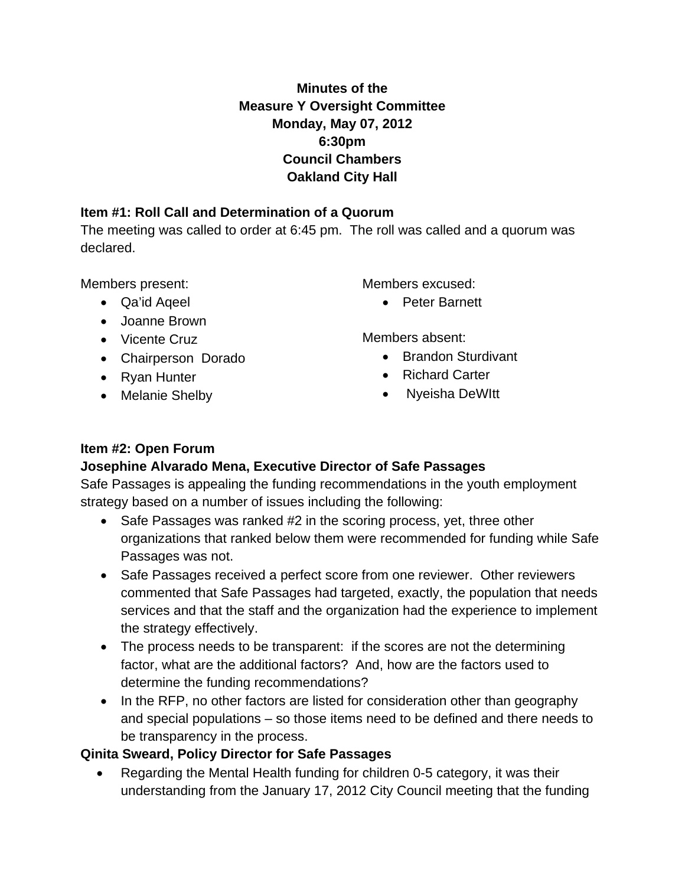## **Minutes of the Measure Y Oversight Committee Monday, May 07, 2012 6:30pm Council Chambers Oakland City Hall**

#### **Item #1: Roll Call and Determination of a Quorum**

The meeting was called to order at 6:45 pm. The roll was called and a quorum was declared.

Members present:

- Qa'id Aqeel
- Joanne Brown
- Vicente Cruz
- Chairperson Dorado
- Ryan Hunter
- Melanie Shelby

Members excused:

• Peter Barnett

Members absent:

- Brandon Sturdivant
- Richard Carter
- Nyeisha DeWItt

#### **Item #2: Open Forum**

### **Josephine Alvarado Mena, Executive Director of Safe Passages**

Safe Passages is appealing the funding recommendations in the youth employment strategy based on a number of issues including the following:

- Safe Passages was ranked #2 in the scoring process, yet, three other organizations that ranked below them were recommended for funding while Safe Passages was not.
- Safe Passages received a perfect score from one reviewer. Other reviewers commented that Safe Passages had targeted, exactly, the population that needs services and that the staff and the organization had the experience to implement the strategy effectively.
- The process needs to be transparent: if the scores are not the determining factor, what are the additional factors? And, how are the factors used to determine the funding recommendations?
- In the RFP, no other factors are listed for consideration other than geography and special populations – so those items need to be defined and there needs to be transparency in the process.

### **Qinita Sweard, Policy Director for Safe Passages**

• Regarding the Mental Health funding for children 0-5 category, it was their understanding from the January 17, 2012 City Council meeting that the funding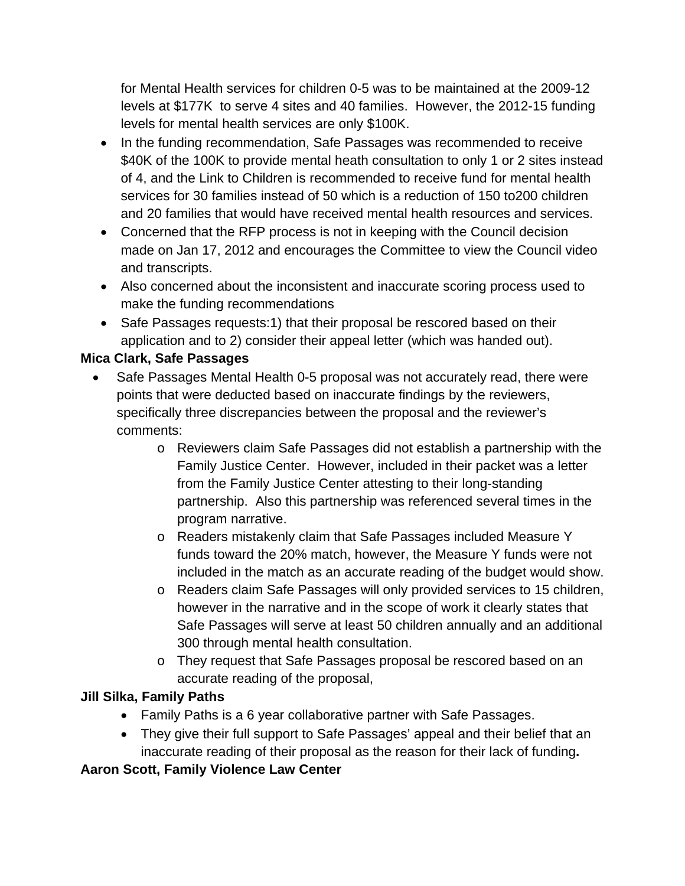for Mental Health services for children 0-5 was to be maintained at the 2009-12 levels at \$177K to serve 4 sites and 40 families. However, the 2012-15 funding levels for mental health services are only \$100K.

- In the funding recommendation, Safe Passages was recommended to receive \$40K of the 100K to provide mental heath consultation to only 1 or 2 sites instead of 4, and the Link to Children is recommended to receive fund for mental health services for 30 families instead of 50 which is a reduction of 150 to200 children and 20 families that would have received mental health resources and services.
- Concerned that the RFP process is not in keeping with the Council decision made on Jan 17, 2012 and encourages the Committee to view the Council video and transcripts.
- Also concerned about the inconsistent and inaccurate scoring process used to make the funding recommendations
- Safe Passages requests:1) that their proposal be rescored based on their application and to 2) consider their appeal letter (which was handed out).

## **Mica Clark, Safe Passages**

- Safe Passages Mental Health 0-5 proposal was not accurately read, there were points that were deducted based on inaccurate findings by the reviewers, specifically three discrepancies between the proposal and the reviewer's comments:
	- o Reviewers claim Safe Passages did not establish a partnership with the Family Justice Center. However, included in their packet was a letter from the Family Justice Center attesting to their long-standing partnership. Also this partnership was referenced several times in the program narrative.
	- o Readers mistakenly claim that Safe Passages included Measure Y funds toward the 20% match, however, the Measure Y funds were not included in the match as an accurate reading of the budget would show.
	- o Readers claim Safe Passages will only provided services to 15 children, however in the narrative and in the scope of work it clearly states that Safe Passages will serve at least 50 children annually and an additional 300 through mental health consultation.
	- o They request that Safe Passages proposal be rescored based on an accurate reading of the proposal,

### **Jill Silka, Family Paths**

- Family Paths is a 6 year collaborative partner with Safe Passages.
- They give their full support to Safe Passages' appeal and their belief that an inaccurate reading of their proposal as the reason for their lack of funding**.**

### **Aaron Scott, Family Violence Law Center**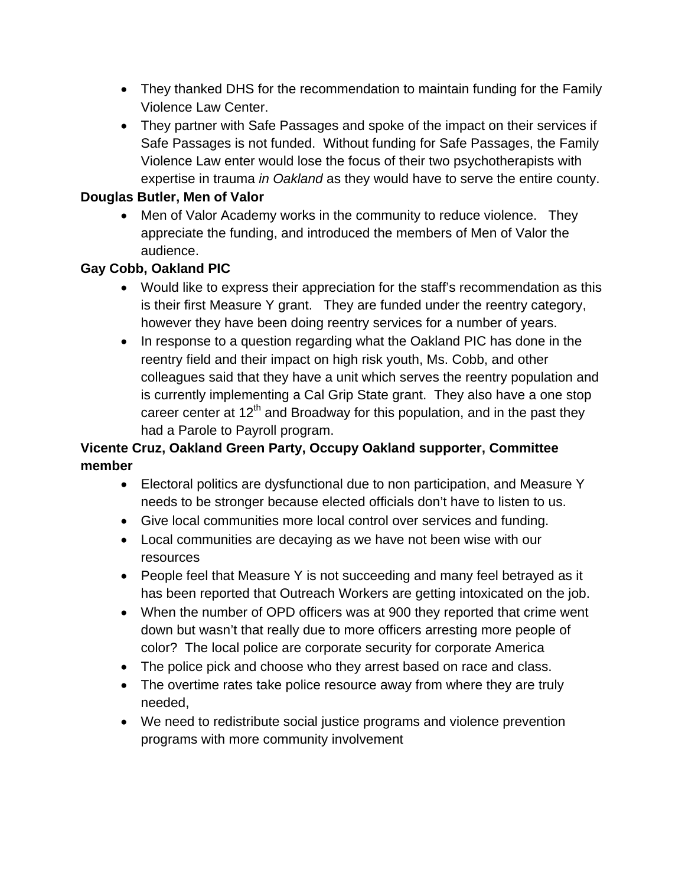- They thanked DHS for the recommendation to maintain funding for the Family Violence Law Center.
- They partner with Safe Passages and spoke of the impact on their services if Safe Passages is not funded. Without funding for Safe Passages, the Family Violence Law enter would lose the focus of their two psychotherapists with expertise in trauma *in Oakland* as they would have to serve the entire county.

#### **Douglas Butler, Men of Valor**

• Men of Valor Academy works in the community to reduce violence. They appreciate the funding, and introduced the members of Men of Valor the audience.

#### **Gay Cobb, Oakland PIC**

- Would like to express their appreciation for the staff's recommendation as this is their first Measure Y grant. They are funded under the reentry category, however they have been doing reentry services for a number of years.
- In response to a question regarding what the Oakland PIC has done in the reentry field and their impact on high risk youth, Ms. Cobb, and other colleagues said that they have a unit which serves the reentry population and is currently implementing a Cal Grip State grant. They also have a one stop career center at  $12<sup>th</sup>$  and Broadway for this population, and in the past they had a Parole to Payroll program.

### **Vicente Cruz, Oakland Green Party, Occupy Oakland supporter, Committee member**

- Electoral politics are dysfunctional due to non participation, and Measure Y needs to be stronger because elected officials don't have to listen to us.
- Give local communities more local control over services and funding.
- Local communities are decaying as we have not been wise with our resources
- People feel that Measure Y is not succeeding and many feel betrayed as it has been reported that Outreach Workers are getting intoxicated on the job.
- When the number of OPD officers was at 900 they reported that crime went down but wasn't that really due to more officers arresting more people of color? The local police are corporate security for corporate America
- The police pick and choose who they arrest based on race and class.
- The overtime rates take police resource away from where they are truly needed,
- We need to redistribute social justice programs and violence prevention programs with more community involvement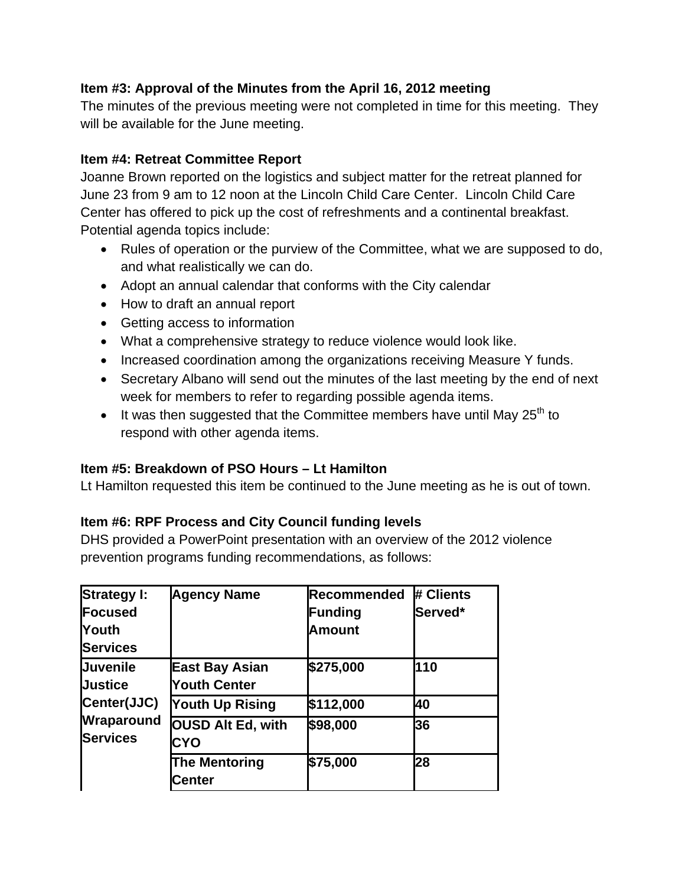#### **Item #3: Approval of the Minutes from the April 16, 2012 meeting**

The minutes of the previous meeting were not completed in time for this meeting. They will be available for the June meeting.

#### **Item #4: Retreat Committee Report**

Joanne Brown reported on the logistics and subject matter for the retreat planned for June 23 from 9 am to 12 noon at the Lincoln Child Care Center. Lincoln Child Care Center has offered to pick up the cost of refreshments and a continental breakfast. Potential agenda topics include:

- Rules of operation or the purview of the Committee, what we are supposed to do, and what realistically we can do.
- Adopt an annual calendar that conforms with the City calendar
- How to draft an annual report
- Getting access to information
- What a comprehensive strategy to reduce violence would look like.
- Increased coordination among the organizations receiving Measure Y funds.
- Secretary Albano will send out the minutes of the last meeting by the end of next week for members to refer to regarding possible agenda items.
- It was then suggested that the Committee members have until May  $25<sup>th</sup>$  to respond with other agenda items.

### **Item #5: Breakdown of PSO Hours – Lt Hamilton**

Lt Hamilton requested this item be continued to the June meeting as he is out of town.

### **Item #6: RPF Process and City Council funding levels**

DHS provided a PowerPoint presentation with an overview of the 2012 violence prevention programs funding recommendations, as follows:

| <b>Strategy I:</b>            | <b>Agency Name</b>                     | Recommended    | # Clients |
|-------------------------------|----------------------------------------|----------------|-----------|
| Focused                       |                                        | <b>Funding</b> | Served*   |
| <b>Youth</b>                  |                                        | <b>Amount</b>  |           |
| <b>Services</b>               |                                        |                |           |
| <b>Juvenile</b>               | <b>East Bay Asian</b>                  | \$275,000      | 110       |
| <b>Justice</b>                | <b>Youth Center</b>                    |                |           |
| Center(JJC)                   | <b>Youth Up Rising</b>                 | \$112,000      | 40        |
| Wraparound<br><b>Services</b> | <b>OUSD Alt Ed, with</b><br><b>CYO</b> | \$98,000       | 36        |
|                               | <b>The Mentoring</b><br>Center         | \$75,000       | 28        |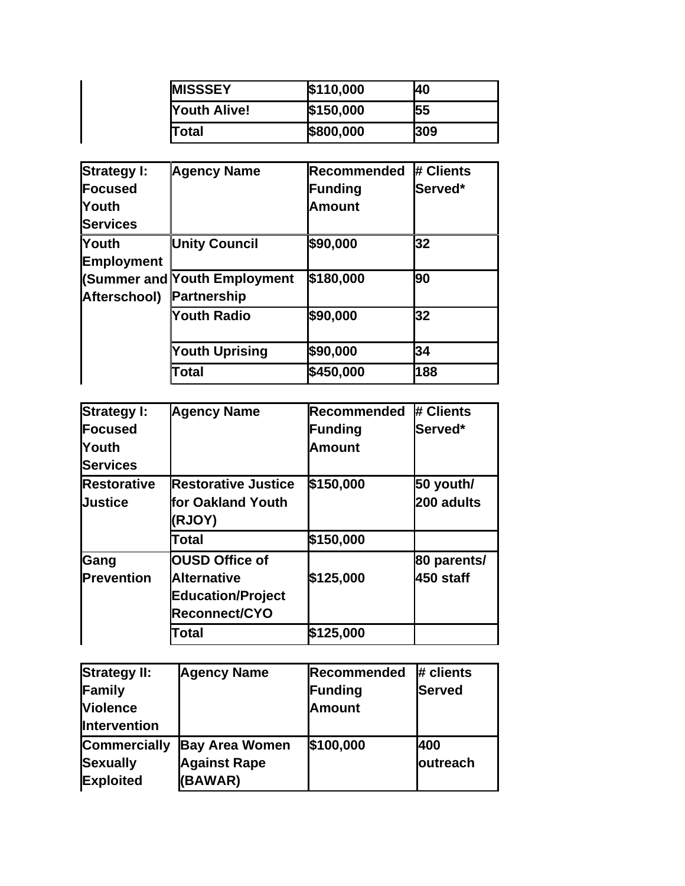| <b>IMISSSEY</b>     | \$110,000 | 40  |
|---------------------|-----------|-----|
| <b>Youth Alive!</b> | \$150,000 | 55  |
| <b>Total</b>        | \$800,000 | 309 |

| <b>Strategy I:</b> | <b>Agency Name</b>                  | <b>Recommended</b> | # Clients |
|--------------------|-------------------------------------|--------------------|-----------|
| <b>Focused</b>     |                                     | <b>Funding</b>     | Served*   |
| <b>Touth</b>       |                                     | <b>Amount</b>      |           |
| <b>Services</b>    |                                     |                    |           |
| <b>Youth</b>       | <b>Unity Council</b>                | \$90,000           | 32        |
| <b>Employment</b>  |                                     |                    |           |
|                    | <b>(Summer and Youth Employment</b> | \$180,000          | 90        |
| Afterschool)       | <b>Partnership</b>                  |                    |           |
|                    | <b>Youth Radio</b>                  | \$90,000           | 32        |
|                    | <b>Youth Uprising</b>               | \$90,000           | 34        |
|                    | Total                               | \$450,000          | 188       |

 $\overline{\phantom{a}}$ 

| <b>Strategy I:</b> | <b>Agency Name</b>         | <b>IRecommended</b> | # Clients   |
|--------------------|----------------------------|---------------------|-------------|
| <b>Focused</b>     |                            | Funding             | Served*     |
| Youth              |                            | <b>Amount</b>       |             |
| <b>Services</b>    |                            |                     |             |
| <b>Restorative</b> | <b>Restorative Justice</b> | \$150,000           | 50 youth/   |
| <b>Justice</b>     | lfor Oakland Youth         |                     | 200 adults  |
|                    | (RJOY)                     |                     |             |
|                    | Total                      | \$150,000           |             |
| Gang               | <b>OUSD Office of</b>      |                     | 80 parents/ |
| <b>Prevention</b>  | <b>Alternative</b>         | \$125,000           | 450 staff   |
|                    | <b>Education/Project</b>   |                     |             |
|                    | Reconnect/CYO              |                     |             |
|                    | Total                      | \$125,000           |             |

| <b>Strategy II:</b> | <b>Agency Name</b>    | Recommended   | # clients        |
|---------------------|-----------------------|---------------|------------------|
| Family              |                       | Funding       | <b>Served</b>    |
| <b>Violence</b>     |                       | <b>Amount</b> |                  |
| Intervention        |                       |               |                  |
| <b>Commercially</b> | <b>Bay Area Women</b> | \$100,000     | 400              |
| <b>Sexually</b>     | <b>Against Rape</b>   |               | <b>loutreach</b> |
| <b>Exploited</b>    | (BAWAR)               |               |                  |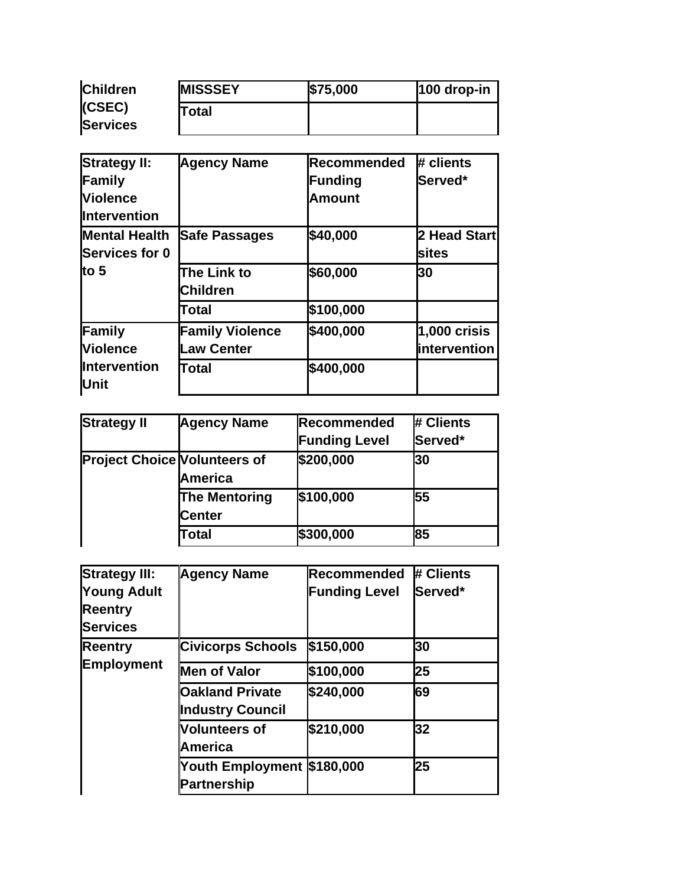| <b>Children</b> | <b>MISSSEY</b> | \$75,000 | 100 drop-in |
|-----------------|----------------|----------|-------------|
| (CSEC)          | Total          |          |             |
| <b>Services</b> |                |          |             |

| <b>Strategy II:</b>         | <b>Agency Name</b>     | Recommended   | # clients      |
|-----------------------------|------------------------|---------------|----------------|
| Family                      |                        | Funding       | Served*        |
| Violence                    |                        | <b>Amount</b> |                |
| <b>Intervention</b>         |                        |               |                |
| <b>Mental Health</b>        | <b>Safe Passages</b>   | \$40,000      | 2 Head Start   |
| <b>Services for 0</b>       |                        |               | sites          |
| lto 5                       | The Link to            | \$60,000      | 30             |
|                             | <b>Children</b>        |               |                |
|                             | Total                  | \$100,000     |                |
| Family                      | <b>Family Violence</b> | \$400,000     | $1,000$ crisis |
| <b>Violence</b>             | <b>Law Center</b>      |               | lintervention  |
| <b>Intervention</b><br>Unit | Total                  | \$400,000     |                |

| <b>Strategy II</b>                  | <b>Agency Name</b>             | Recommended   | # Clients |
|-------------------------------------|--------------------------------|---------------|-----------|
|                                     |                                | Funding Level | Served*   |
| <b>Project Choice Volunteers of</b> | <b>America</b>                 | \$200,000     | 30        |
|                                     | The Mentoring<br><b>Center</b> | \$100,000     | 55        |
|                                     | Total                          | \$300,000     | 85        |

| <b>Strategy III:</b><br><b>Young Adult</b><br><b>Reentry</b><br><b>Services</b> | <b>Agency Name</b>                                | <b>Recommended</b><br>Funding Level | # Clients<br>Served* |
|---------------------------------------------------------------------------------|---------------------------------------------------|-------------------------------------|----------------------|
| <b>Reentry</b><br><b>Employment</b>                                             | <b>Civicorps Schools</b>                          | \$150,000                           | 30                   |
|                                                                                 | <b>Men of Valor</b>                               | \$100,000                           | 25                   |
|                                                                                 | <b>Oakland Private</b><br><b>Industry Council</b> | \$240,000                           | 69                   |
|                                                                                 | <b>Volunteers of</b><br>America                   | \$210,000                           | 32                   |
|                                                                                 | Youth Employment \$180,000<br><b>Partnership</b>  |                                     | 25                   |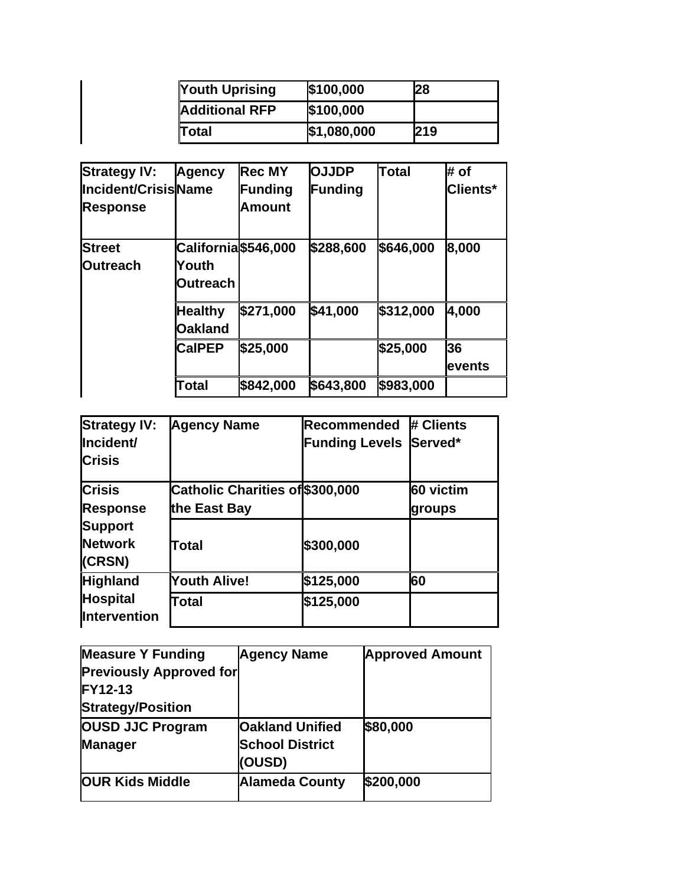| <b>Youth Uprising</b> | \$100,000   | 28         |
|-----------------------|-------------|------------|
| <b>Additional RFP</b> | \$100,000   |            |
| <b>Total</b>          | \$1,080,000 | <b>219</b> |

| <b>Strategy IV:</b> | Agency               | <b>Rec MY</b> | <b>OJJDP</b> | Total     | # of            |
|---------------------|----------------------|---------------|--------------|-----------|-----------------|
| Incident/CrisisName |                      | Funding       | Funding      |           | <b>Clients*</b> |
| <b>Response</b>     |                      | <b>Amount</b> |              |           |                 |
| <b>Street</b>       | California \$546,000 |               | \$288,600    | \$646,000 | 8,000           |
| <b>Outreach</b>     | Youth                |               |              |           |                 |
|                     | Outreach             |               |              |           |                 |
|                     | <b>Healthy</b>       | \$271,000     | \$41,000     | \$312,000 | 4,000           |
|                     | <b>Oakland</b>       |               |              |           |                 |
|                     | <b>CalPEP</b>        | \$25,000      |              | \$25,000  | 36              |
|                     |                      |               |              |           | events          |
|                     | Total                | \$842,000     | \$643,800    | \$983,000 |                 |

| <b>Strategy IV:</b><br>Incident/<br><b>Crisis</b> | <b>Agency Name</b>                              | Recommended<br><b>Funding Levels</b> | # Clients<br>Served* |
|---------------------------------------------------|-------------------------------------------------|--------------------------------------|----------------------|
| <b>Crisis</b><br><b>Response</b>                  | Catholic Charities of \$300,000<br>the East Bay |                                      | 60 victim<br>groups  |
| <b>Support</b><br><b>Network</b><br>(CRSN)        | <b>Total</b>                                    | \$300,000                            |                      |
| <b>Highland</b>                                   | <b>Youth Alive!</b>                             | \$125,000                            | 60                   |
| <b>Hospital</b><br><b>Intervention</b>            | Total                                           | \$125,000                            |                      |

| <b>Measure Y Funding</b>       | <b>Agency Name</b>     | <b>Approved Amount</b> |
|--------------------------------|------------------------|------------------------|
| <b>Previously Approved for</b> |                        |                        |
| <b>FY12-13</b>                 |                        |                        |
| <b>Strategy/Position</b>       |                        |                        |
| <b>OUSD JJC Program</b>        | <b>Oakland Unified</b> | \$80,000               |
| <b>Manager</b>                 | <b>School District</b> |                        |
|                                | (OUSD)                 |                        |
| <b>OUR Kids Middle</b>         | <b>Alameda County</b>  | \$200,000              |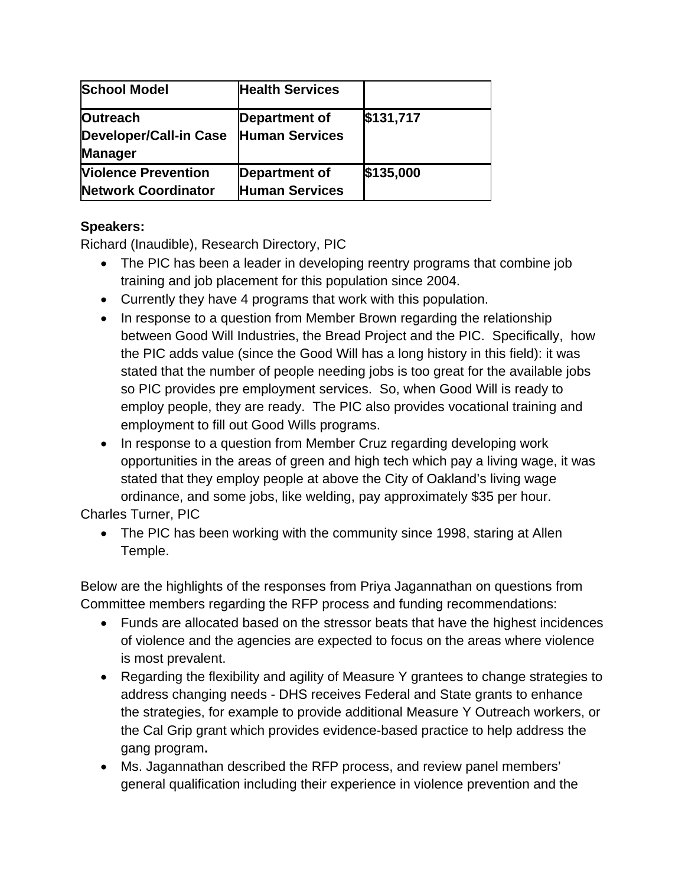| <b>School Model</b>                                                | <b>Health Services</b>                 |           |
|--------------------------------------------------------------------|----------------------------------------|-----------|
| <b>Outreach</b><br><b>Developer/Call-in Case</b><br><b>Manager</b> | Department of<br><b>Human Services</b> | \$131,717 |
| <b>Violence Prevention</b><br><b>Network Coordinator</b>           | Department of<br><b>Human Services</b> | \$135,000 |

### **Speakers:**

Richard (Inaudible), Research Directory, PIC

- The PIC has been a leader in developing reentry programs that combine job training and job placement for this population since 2004.
- Currently they have 4 programs that work with this population.
- In response to a question from Member Brown regarding the relationship between Good Will Industries, the Bread Project and the PIC. Specifically, how the PIC adds value (since the Good Will has a long history in this field): it was stated that the number of people needing jobs is too great for the available jobs so PIC provides pre employment services. So, when Good Will is ready to employ people, they are ready. The PIC also provides vocational training and employment to fill out Good Wills programs.
- In response to a question from Member Cruz regarding developing work opportunities in the areas of green and high tech which pay a living wage, it was stated that they employ people at above the City of Oakland's living wage ordinance, and some jobs, like welding, pay approximately \$35 per hour.

Charles Turner, PIC

• The PIC has been working with the community since 1998, staring at Allen Temple.

Below are the highlights of the responses from Priya Jagannathan on questions from Committee members regarding the RFP process and funding recommendations:

- Funds are allocated based on the stressor beats that have the highest incidences of violence and the agencies are expected to focus on the areas where violence is most prevalent.
- Regarding the flexibility and agility of Measure Y grantees to change strategies to address changing needs - DHS receives Federal and State grants to enhance the strategies, for example to provide additional Measure Y Outreach workers, or the Cal Grip grant which provides evidence-based practice to help address the gang program**.**
- Ms. Jagannathan described the RFP process, and review panel members' general qualification including their experience in violence prevention and the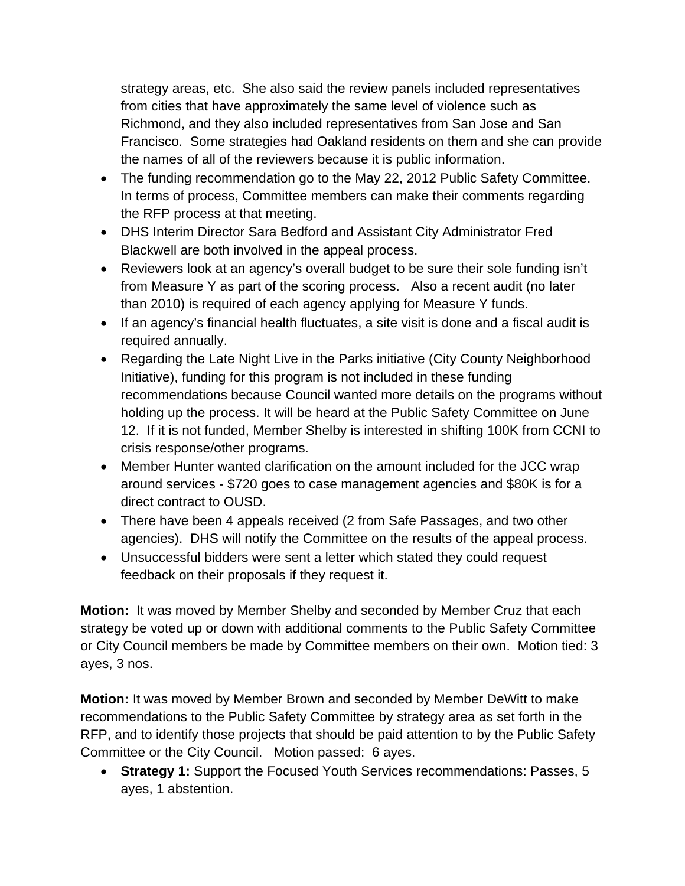strategy areas, etc. She also said the review panels included representatives from cities that have approximately the same level of violence such as Richmond, and they also included representatives from San Jose and San Francisco. Some strategies had Oakland residents on them and she can provide the names of all of the reviewers because it is public information.

- The funding recommendation go to the May 22, 2012 Public Safety Committee. In terms of process, Committee members can make their comments regarding the RFP process at that meeting.
- DHS Interim Director Sara Bedford and Assistant City Administrator Fred Blackwell are both involved in the appeal process.
- Reviewers look at an agency's overall budget to be sure their sole funding isn't from Measure Y as part of the scoring process. Also a recent audit (no later than 2010) is required of each agency applying for Measure Y funds.
- If an agency's financial health fluctuates, a site visit is done and a fiscal audit is required annually.
- Regarding the Late Night Live in the Parks initiative (City County Neighborhood Initiative), funding for this program is not included in these funding recommendations because Council wanted more details on the programs without holding up the process. It will be heard at the Public Safety Committee on June 12. If it is not funded, Member Shelby is interested in shifting 100K from CCNI to crisis response/other programs.
- Member Hunter wanted clarification on the amount included for the JCC wrap around services - \$720 goes to case management agencies and \$80K is for a direct contract to OUSD.
- There have been 4 appeals received (2 from Safe Passages, and two other agencies). DHS will notify the Committee on the results of the appeal process.
- Unsuccessful bidders were sent a letter which stated they could request feedback on their proposals if they request it.

**Motion:** It was moved by Member Shelby and seconded by Member Cruz that each strategy be voted up or down with additional comments to the Public Safety Committee or City Council members be made by Committee members on their own. Motion tied: 3 ayes, 3 nos.

**Motion:** It was moved by Member Brown and seconded by Member DeWitt to make recommendations to the Public Safety Committee by strategy area as set forth in the RFP, and to identify those projects that should be paid attention to by the Public Safety Committee or the City Council. Motion passed: 6 ayes.

• **Strategy 1:** Support the Focused Youth Services recommendations: Passes, 5 ayes, 1 abstention.